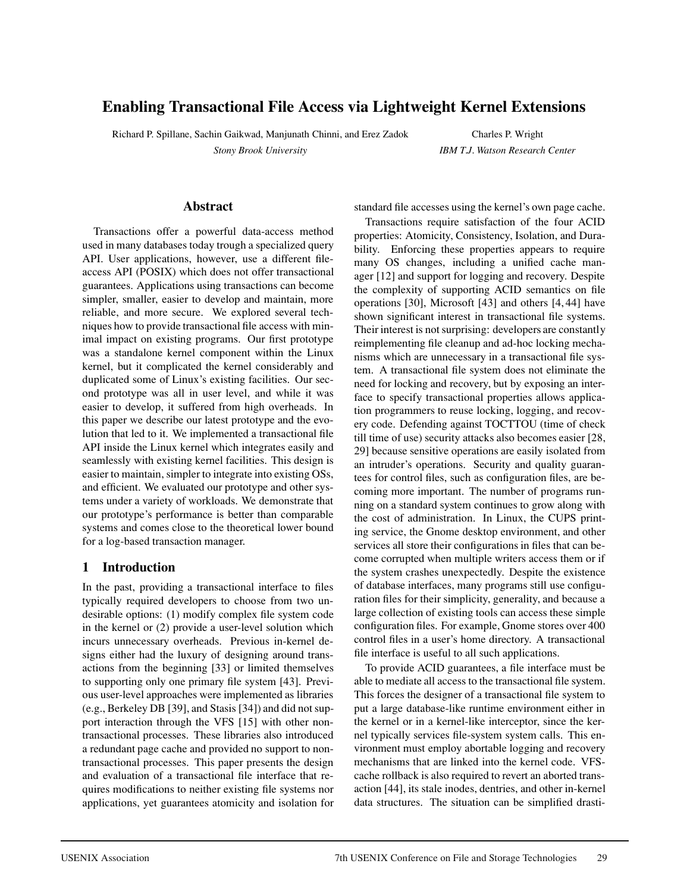# **Enabling Transactional File Access via Lightweight Kernel Extensions**

Richard P. Spillane, Sachin Gaikwad, Manjunath Chinni, and Erez Zadok *Stony Brook University*

Charles P. Wright *IBM T.J. Watson Research Center*

#### **Abstract**

Transactions offer a powerful data-access method used in many databases today trough a specialized query API. User applications, however, use a different fileaccess API (POSIX) which does not offer transactional guarantees. Applications using transactions can become simpler, smaller, easier to develop and maintain, more reliable, and more secure. We explored several techniques how to provide transactional file access with minimal impact on existing programs. Our first prototype was a standalone kernel component within the Linux kernel, but it complicated the kernel considerably and duplicated some of Linux's existing facilities. Our second prototype was all in user level, and while it was easier to develop, it suffered from high overheads. In this paper we describe our latest prototype and the evolution that led to it. We implemented a transactional file API inside the Linux kernel which integrates easily and seamlessly with existing kernel facilities. This design is easier to maintain, simpler to integrate into existing OSs, and efficient. We evaluated our prototype and other systems under a variety of workloads. We demonstrate that our prototype's performance is better than comparable systems and comes close to the theoretical lower bound for a log-based transaction manager.

### **1 Introduction**

In the past, providing a transactional interface to files typically required developers to choose from two undesirable options: (1) modify complex file system code in the kernel or (2) provide a user-level solution which incurs unnecessary overheads. Previous in-kernel designs either had the luxury of designing around transactions from the beginning [33] or limited themselves to supporting only one primary file system [43]. Previous user-level approaches were implemented as libraries (e.g., Berkeley DB [39], and Stasis [34]) and did not support interaction through the VFS [15] with other nontransactional processes. These libraries also introduced a redundant page cache and provided no support to nontransactional processes. This paper presents the design and evaluation of a transactional file interface that requires modifications to neither existing file systems nor applications, yet guarantees atomicity and isolation for standard file accesses using the kernel's own page cache.

Transactions require satisfaction of the four ACID properties: Atomicity, Consistency, Isolation, and Durability. Enforcing these properties appears to require many OS changes, including a unified cache manager [12] and support for logging and recovery. Despite the complexity of supporting ACID semantics on file operations [30], Microsoft [43] and others [4, 44] have shown significant interest in transactional file systems. Their interest is not surprising: developers are constantly reimplementing file cleanup and ad-hoc locking mechanisms which are unnecessary in a transactional file system. A transactional file system does not eliminate the need for locking and recovery, but by exposing an interface to specify transactional properties allows application programmers to reuse locking, logging, and recovery code. Defending against TOCTTOU (time of check till time of use) security attacks also becomes easier [28, 29] because sensitive operations are easily isolated from an intruder's operations. Security and quality guarantees for control files, such as configuration files, are becoming more important. The number of programs running on a standard system continues to grow along with the cost of administration. In Linux, the CUPS printing service, the Gnome desktop environment, and other services all store their configurations in files that can become corrupted when multiple writers access them or if the system crashes unexpectedly. Despite the existence of database interfaces, many programs still use configuration files for their simplicity, generality, and because a large collection of existing tools can access these simple configuration files. For example, Gnome stores over 400 control files in a user's home directory. A transactional file interface is useful to all such applications.

To provide ACID guarantees, a file interface must be able to mediate all access to the transactional file system. This forces the designer of a transactional file system to put a large database-like runtime environment either in the kernel or in a kernel-like interceptor, since the kernel typically services file-system system calls. This environment must employ abortable logging and recovery mechanisms that are linked into the kernel code. VFScache rollback is also required to revert an aborted transaction [44], its stale inodes, dentries, and other in-kernel data structures. The situation can be simplified drasti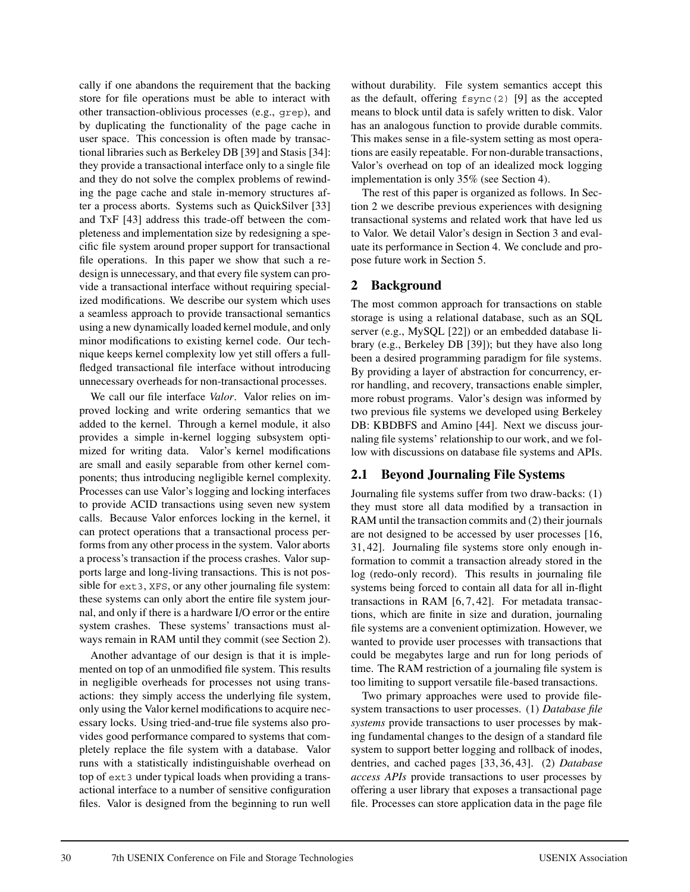cally if one abandons the requirement that the backing store for file operations must be able to interact with other transaction-oblivious processes (e.g., grep), and by duplicating the functionality of the page cache in user space. This concession is often made by transactional libraries such as Berkeley DB [39] and Stasis [34]: they provide a transactional interface only to a single file and they do not solve the complex problems of rewinding the page cache and stale in-memory structures after a process aborts. Systems such as QuickSilver [33] and TxF [43] address this trade-off between the completeness and implementation size by redesigning a specific file system around proper support for transactional file operations. In this paper we show that such a redesign is unnecessary, and that every file system can provide a transactional interface without requiring specialized modifications. We describe our system which uses a seamless approach to provide transactional semantics using a new dynamically loaded kernel module, and only minor modifications to existing kernel code. Our technique keeps kernel complexity low yet still offers a fullfledged transactional file interface without introducing unnecessary overheads for non-transactional processes.

We call our file interface *Valor*. Valor relies on improved locking and write ordering semantics that we added to the kernel. Through a kernel module, it also provides a simple in-kernel logging subsystem optimized for writing data. Valor's kernel modifications are small and easily separable from other kernel components; thus introducing negligible kernel complexity. Processes can use Valor's logging and locking interfaces to provide ACID transactions using seven new system calls. Because Valor enforces locking in the kernel, it can protect operations that a transactional process performs from any other process in the system. Valor aborts a process's transaction if the process crashes. Valor supports large and long-living transactions. This is not possible for ext3, XFS, or any other journaling file system: these systems can only abort the entire file system journal, and only if there is a hardware I/O error or the entire system crashes. These systems' transactions must always remain in RAM until they commit (see Section 2).

Another advantage of our design is that it is implemented on top of an unmodified file system. This results in negligible overheads for processes not using transactions: they simply access the underlying file system, only using the Valor kernel modifications to acquire necessary locks. Using tried-and-true file systems also provides good performance compared to systems that completely replace the file system with a database. Valor runs with a statistically indistinguishable overhead on top of ext3 under typical loads when providing a transactional interface to a number of sensitive configuration files. Valor is designed from the beginning to run well

without durability. File system semantics accept this as the default, offering  $f<sub>sync</sub>(2)$  [9] as the accepted means to block until data is safely written to disk. Valor has an analogous function to provide durable commits. This makes sense in a file-system setting as most operations are easily repeatable. For non-durable transactions, Valor's overhead on top of an idealized mock logging implementation is only 35% (see Section 4).

The rest of this paper is organized as follows. In Section 2 we describe previous experiences with designing transactional systems and related work that have led us to Valor. We detail Valor's design in Section 3 and evaluate its performance in Section 4. We conclude and propose future work in Section 5.

### **2 Background**

The most common approach for transactions on stable storage is using a relational database, such as an SQL server (e.g., MySQL [22]) or an embedded database library (e.g., Berkeley DB [39]); but they have also long been a desired programming paradigm for file systems. By providing a layer of abstraction for concurrency, error handling, and recovery, transactions enable simpler, more robust programs. Valor's design was informed by two previous file systems we developed using Berkeley DB: KBDBFS and Amino [44]. Next we discuss journaling file systems' relationship to our work, and we follow with discussions on database file systems and APIs.

### **2.1 Beyond Journaling File Systems**

Journaling file systems suffer from two draw-backs: (1) they must store all data modified by a transaction in RAM until the transaction commits and (2) their journals are not designed to be accessed by user processes [16, 31, 42]. Journaling file systems store only enough information to commit a transaction already stored in the log (redo-only record). This results in journaling file systems being forced to contain all data for all in-flight transactions in RAM [6, 7, 42]. For metadata transactions, which are finite in size and duration, journaling file systems are a convenient optimization. However, we wanted to provide user processes with transactions that could be megabytes large and run for long periods of time. The RAM restriction of a journaling file system is too limiting to support versatile file-based transactions.

Two primary approaches were used to provide filesystem transactions to user processes. (1) *Database file systems* provide transactions to user processes by making fundamental changes to the design of a standard file system to support better logging and rollback of inodes, dentries, and cached pages [33, 36, 43]. (2) *Database access APIs* provide transactions to user processes by offering a user library that exposes a transactional page file. Processes can store application data in the page file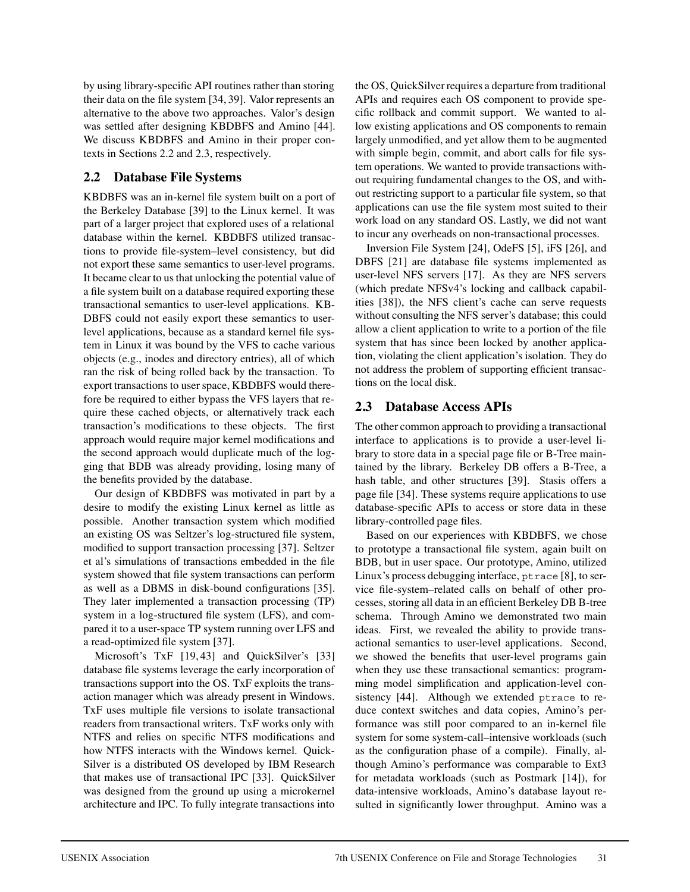by using library-specific API routines rather than storing their data on the file system [34, 39]. Valor represents an alternative to the above two approaches. Valor's design was settled after designing KBDBFS and Amino [44]. We discuss KBDBFS and Amino in their proper contexts in Sections 2.2 and 2.3, respectively.

## **2.2 Database File Systems**

KBDBFS was an in-kernel file system built on a port of the Berkeley Database [39] to the Linux kernel. It was part of a larger project that explored uses of a relational database within the kernel. KBDBFS utilized transactions to provide file-system–level consistency, but did not export these same semantics to user-level programs. It became clear to us that unlocking the potential value of a file system built on a database required exporting these transactional semantics to user-level applications. KB-DBFS could not easily export these semantics to userlevel applications, because as a standard kernel file system in Linux it was bound by the VFS to cache various objects (e.g., inodes and directory entries), all of which ran the risk of being rolled back by the transaction. To export transactions to user space, KBDBFS would therefore be required to either bypass the VFS layers that require these cached objects, or alternatively track each transaction's modifications to these objects. The first approach would require major kernel modifications and the second approach would duplicate much of the logging that BDB was already providing, losing many of the benefits provided by the database.

Our design of KBDBFS was motivated in part by a desire to modify the existing Linux kernel as little as possible. Another transaction system which modified an existing OS was Seltzer's log-structured file system, modified to support transaction processing [37]. Seltzer et al's simulations of transactions embedded in the file system showed that file system transactions can perform as well as a DBMS in disk-bound configurations [35]. They later implemented a transaction processing (TP) system in a log-structured file system (LFS), and compared it to a user-space TP system running over LFS and a read-optimized file system [37].

Microsoft's TxF [19,43] and QuickSilver's [33] database file systems leverage the early incorporation of transactions support into the OS. TxF exploits the transaction manager which was already present in Windows. TxF uses multiple file versions to isolate transactional readers from transactional writers. TxF works only with NTFS and relies on specific NTFS modifications and how NTFS interacts with the Windows kernel. Quick-Silver is a distributed OS developed by IBM Research that makes use of transactional IPC [33]. QuickSilver was designed from the ground up using a microkernel architecture and IPC. To fully integrate transactions into the OS, QuickSilver requires a departure from traditional APIs and requires each OS component to provide specific rollback and commit support. We wanted to allow existing applications and OS components to remain largely unmodified, and yet allow them to be augmented with simple begin, commit, and abort calls for file system operations. We wanted to provide transactions without requiring fundamental changes to the OS, and without restricting support to a particular file system, so that applications can use the file system most suited to their work load on any standard OS. Lastly, we did not want to incur any overheads on non-transactional processes.

Inversion File System [24], OdeFS [5], iFS [26], and DBFS [21] are database file systems implemented as user-level NFS servers [17]. As they are NFS servers (which predate NFSv4's locking and callback capabilities [38]), the NFS client's cache can serve requests without consulting the NFS server's database; this could allow a client application to write to a portion of the file system that has since been locked by another application, violating the client application's isolation. They do not address the problem of supporting efficient transactions on the local disk.

## **2.3 Database Access APIs**

The other common approach to providing a transactional interface to applications is to provide a user-level library to store data in a special page file or B-Tree maintained by the library. Berkeley DB offers a B-Tree, a hash table, and other structures [39]. Stasis offers a page file [34]. These systems require applications to use database-specific APIs to access or store data in these library-controlled page files.

Based on our experiences with KBDBFS, we chose to prototype a transactional file system, again built on BDB, but in user space. Our prototype, Amino, utilized Linux's process debugging interface, ptrace [8], to service file-system–related calls on behalf of other processes, storing all data in an efficient Berkeley DB B-tree schema. Through Amino we demonstrated two main ideas. First, we revealed the ability to provide transactional semantics to user-level applications. Second, we showed the benefits that user-level programs gain when they use these transactional semantics: programming model simplification and application-level consistency [44]. Although we extended ptrace to reduce context switches and data copies, Amino's performance was still poor compared to an in-kernel file system for some system-call–intensive workloads (such as the configuration phase of a compile). Finally, although Amino's performance was comparable to Ext3 for metadata workloads (such as Postmark [14]), for data-intensive workloads, Amino's database layout resulted in significantly lower throughput. Amino was a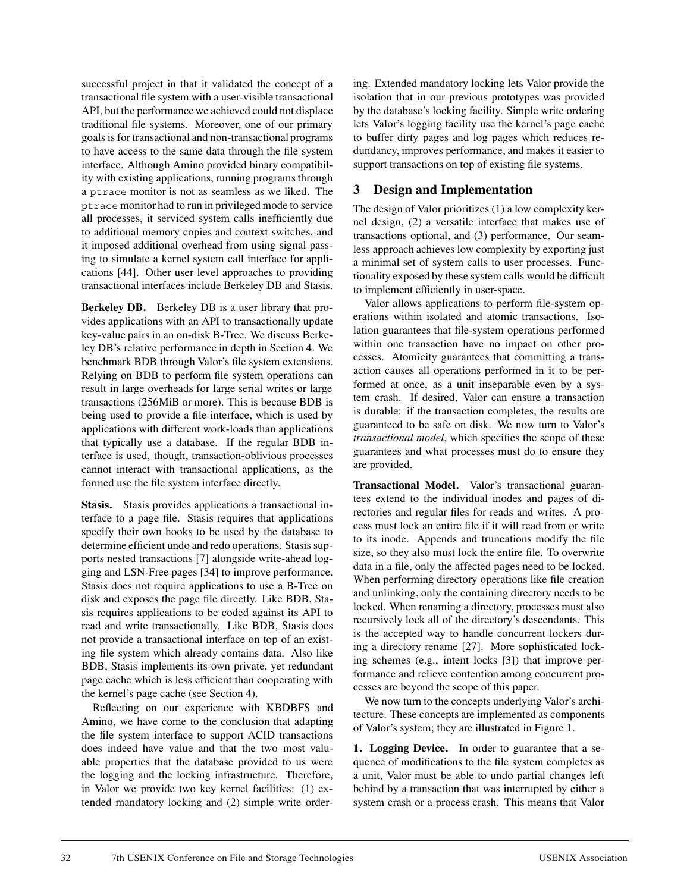successful project in that it validated the concept of a transactional file system with a user-visible transactional API, but the performance we achieved could not displace traditional file systems. Moreover, one of our primary goals is for transactional and non-transactional programs to have access to the same data through the file system interface. Although Amino provided binary compatibility with existing applications, running programs through a ptrace monitor is not as seamless as we liked. The ptrace monitor had to run in privileged mode to service all processes, it serviced system calls inefficiently due to additional memory copies and context switches, and it imposed additional overhead from using signal passing to simulate a kernel system call interface for applications [44]. Other user level approaches to providing transactional interfaces include Berkeley DB and Stasis.

**Berkeley DB.** Berkeley DB is a user library that provides applications with an API to transactionally update key-value pairs in an on-disk B-Tree. We discuss Berkeley DB's relative performance in depth in Section 4. We benchmark BDB through Valor's file system extensions. Relying on BDB to perform file system operations can result in large overheads for large serial writes or large transactions (256MiB or more). This is because BDB is being used to provide a file interface, which is used by applications with different work-loads than applications that typically use a database. If the regular BDB interface is used, though, transaction-oblivious processes cannot interact with transactional applications, as the formed use the file system interface directly.

**Stasis.** Stasis provides applications a transactional interface to a page file. Stasis requires that applications specify their own hooks to be used by the database to determine efficient undo and redo operations. Stasis supports nested transactions [7] alongside write-ahead logging and LSN-Free pages [34] to improve performance. Stasis does not require applications to use a B-Tree on disk and exposes the page file directly. Like BDB, Stasis requires applications to be coded against its API to read and write transactionally. Like BDB, Stasis does not provide a transactional interface on top of an existing file system which already contains data. Also like BDB, Stasis implements its own private, yet redundant page cache which is less efficient than cooperating with the kernel's page cache (see Section 4).

Reflecting on our experience with KBDBFS and Amino, we have come to the conclusion that adapting the file system interface to support ACID transactions does indeed have value and that the two most valuable properties that the database provided to us were the logging and the locking infrastructure. Therefore, in Valor we provide two key kernel facilities: (1) extended mandatory locking and (2) simple write ordering. Extended mandatory locking lets Valor provide the isolation that in our previous prototypes was provided by the database's locking facility. Simple write ordering lets Valor's logging facility use the kernel's page cache to buffer dirty pages and log pages which reduces redundancy, improves performance, and makes it easier to support transactions on top of existing file systems.

#### **3 Design and Implementation**

The design of Valor prioritizes (1) a low complexity kernel design, (2) a versatile interface that makes use of transactions optional, and (3) performance. Our seamless approach achieves low complexity by exporting just a minimal set of system calls to user processes. Functionality exposed by these system calls would be difficult to implement efficiently in user-space.

Valor allows applications to perform file-system operations within isolated and atomic transactions. Isolation guarantees that file-system operations performed within one transaction have no impact on other processes. Atomicity guarantees that committing a transaction causes all operations performed in it to be performed at once, as a unit inseparable even by a system crash. If desired, Valor can ensure a transaction is durable: if the transaction completes, the results are guaranteed to be safe on disk. We now turn to Valor's *transactional model*, which specifies the scope of these guarantees and what processes must do to ensure they are provided.

**Transactional Model.** Valor's transactional guarantees extend to the individual inodes and pages of directories and regular files for reads and writes. A process must lock an entire file if it will read from or write to its inode. Appends and truncations modify the file size, so they also must lock the entire file. To overwrite data in a file, only the affected pages need to be locked. When performing directory operations like file creation and unlinking, only the containing directory needs to be locked. When renaming a directory, processes must also recursively lock all of the directory's descendants. This is the accepted way to handle concurrent lockers during a directory rename [27]. More sophisticated locking schemes (e.g., intent locks [3]) that improve performance and relieve contention among concurrent processes are beyond the scope of this paper.

We now turn to the concepts underlying Valor's architecture. These concepts are implemented as components of Valor's system; they are illustrated in Figure 1.

**1. Logging Device.** In order to guarantee that a sequence of modifications to the file system completes as a unit, Valor must be able to undo partial changes left behind by a transaction that was interrupted by either a system crash or a process crash. This means that Valor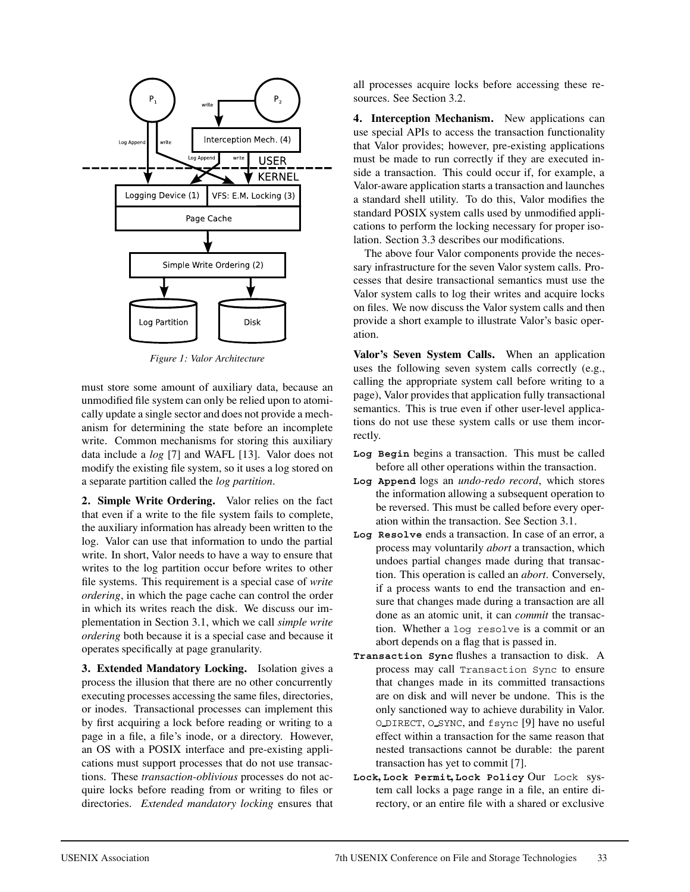

*Figure 1: Valor Architecture*

must store some amount of auxiliary data, because an unmodified file system can only be relied upon to atomically update a single sector and does not provide a mechanism for determining the state before an incomplete write. Common mechanisms for storing this auxiliary data include a *log* [7] and WAFL [13]. Valor does not modify the existing file system, so it uses a log stored on a separate partition called the *log partition*.

**2. Simple Write Ordering.** Valor relies on the fact that even if a write to the file system fails to complete, the auxiliary information has already been written to the log. Valor can use that information to undo the partial write. In short, Valor needs to have a way to ensure that writes to the log partition occur before writes to other file systems. This requirement is a special case of *write ordering*, in which the page cache can control the order in which its writes reach the disk. We discuss our implementation in Section 3.1, which we call *simple write ordering* both because it is a special case and because it operates specifically at page granularity.

**3. Extended Mandatory Locking.** Isolation gives a process the illusion that there are no other concurrently executing processes accessing the same files, directories, or inodes. Transactional processes can implement this by first acquiring a lock before reading or writing to a page in a file, a file's inode, or a directory. However, an OS with a POSIX interface and pre-existing applications must support processes that do not use transactions. These *transaction-oblivious* processes do not acquire locks before reading from or writing to files or directories. *Extended mandatory locking* ensures that all processes acquire locks before accessing these resources. See Section 3.2.

**4. Interception Mechanism.** New applications can use special APIs to access the transaction functionality that Valor provides; however, pre-existing applications must be made to run correctly if they are executed inside a transaction. This could occur if, for example, a Valor-aware application starts a transaction and launches a standard shell utility. To do this, Valor modifies the standard POSIX system calls used by unmodified applications to perform the locking necessary for proper isolation. Section 3.3 describes our modifications.

The above four Valor components provide the necessary infrastructure for the seven Valor system calls. Processes that desire transactional semantics must use the Valor system calls to log their writes and acquire locks on files. We now discuss the Valor system calls and then provide a short example to illustrate Valor's basic operation.

**Valor's Seven System Calls.** When an application uses the following seven system calls correctly (e.g., calling the appropriate system call before writing to a page), Valor provides that application fully transactional semantics. This is true even if other user-level applications do not use these system calls or use them incorrectly.

- **Log Begin** begins a transaction. This must be called before all other operations within the transaction.
- **Log Append** logs an *undo-redo record*, which stores the information allowing a subsequent operation to be reversed. This must be called before every operation within the transaction. See Section 3.1.
- **Log Resolve** ends a transaction. In case of an error, a process may voluntarily *abort* a transaction, which undoes partial changes made during that transaction. This operation is called an *abort*. Conversely, if a process wants to end the transaction and ensure that changes made during a transaction are all done as an atomic unit, it can *commit* the transaction. Whether a log resolve is a commit or an abort depends on a flag that is passed in.
- **Transaction Sync** flushes a transaction to disk. A process may call Transaction Sync to ensure that changes made in its committed transactions are on disk and will never be undone. This is the only sanctioned way to achieve durability in Valor. O DIRECT, O SYNC, and fsync [9] have no useful effect within a transaction for the same reason that nested transactions cannot be durable: the parent transaction has yet to commit [7].
- **Lock, Lock Permit, Lock Policy** Our Lock system call locks a page range in a file, an entire directory, or an entire file with a shared or exclusive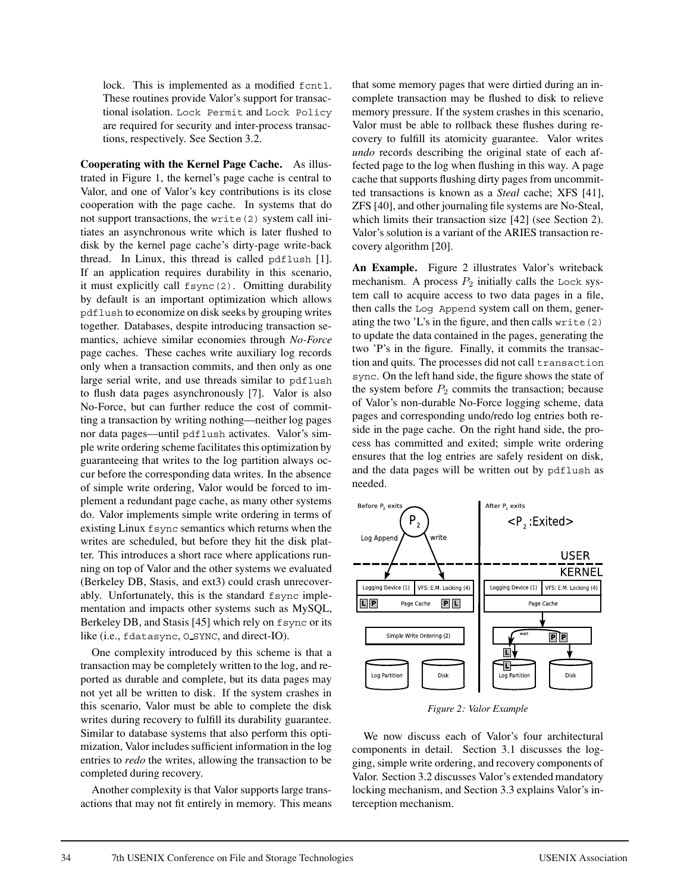lock. This is implemented as a modified fcntl. These routines provide Valor's support for transactional isolation. Lock Permit and Lock Policy are required for security and inter-process transactions, respectively. See Section 3.2.

**Cooperating with the Kernel Page Cache.** As illustrated in Figure 1, the kernel's page cache is central to Valor, and one of Valor's key contributions is its close cooperation with the page cache. In systems that do not support transactions, the write(2) system call initiates an asynchronous write which is later flushed to disk by the kernel page cache's dirty-page write-back thread. In Linux, this thread is called pdflush [1]. If an application requires durability in this scenario, it must explicitly call fsync(2). Omitting durability by default is an important optimization which allows pdflush to economize on disk seeks by grouping writes together. Databases, despite introducing transaction semantics, achieve similar economies through *No-Force* page caches. These caches write auxiliary log records only when a transaction commits, and then only as one large serial write, and use threads similar to pdflush to flush data pages asynchronously [7]. Valor is also No-Force, but can further reduce the cost of committing a transaction by writing nothing—neither log pages nor data pages—until pdflush activates. Valor's simple write ordering scheme facilitates this optimization by guaranteeing that writes to the log partition always occur before the corresponding data writes. In the absence of simple write ordering, Valor would be forced to implement a redundant page cache, as many other systems do. Valor implements simple write ordering in terms of existing Linux fsync semantics which returns when the writes are scheduled, but before they hit the disk platter. This introduces a short race where applications running on top of Valor and the other systems we evaluated (Berkeley DB, Stasis, and ext3) could crash unrecoverably. Unfortunately, this is the standard fsync implementation and impacts other systems such as MySQL, Berkeley DB, and Stasis [45] which rely on fsync or its like (i.e., fdatasync, O SYNC, and direct-IO).

One complexity introduced by this scheme is that a transaction may be completely written to the log, and reported as durable and complete, but its data pages may not yet all be written to disk. If the system crashes in this scenario, Valor must be able to complete the disk writes during recovery to fulfill its durability guarantee. Similar to database systems that also perform this optimization, Valor includes sufficient information in the log entries to *redo* the writes, allowing the transaction to be completed during recovery.

Another complexity is that Valor supports large transactions that may not fit entirely in memory. This means that some memory pages that were dirtied during an incomplete transaction may be flushed to disk to relieve memory pressure. If the system crashes in this scenario, Valor must be able to rollback these flushes during recovery to fulfill its atomicity guarantee. Valor writes *undo* records describing the original state of each affected page to the log when flushing in this way. A page cache that supports flushing dirty pages from uncommitted transactions is known as a *Steal* cache; XFS [41], ZFS [40], and other journaling file systems are No-Steal, which limits their transaction size [42] (see Section 2). Valor's solution is a variant of the ARIES transaction recovery algorithm [20].

**An Example.** Figure 2 illustrates Valor's writeback mechanism. A process  $P_2$  initially calls the Lock system call to acquire access to two data pages in a file, then calls the Log Append system call on them, generating the two 'L's in the figure, and then calls write(2) to update the data contained in the pages, generating the two 'P's in the figure. Finally, it commits the transaction and quits. The processes did not call transaction sync. On the left hand side, the figure shows the state of the system before  $P_2$  commits the transaction; because of Valor's non-durable No-Force logging scheme, data pages and corresponding undo/redo log entries both reside in the page cache. On the right hand side, the process has committed and exited; simple write ordering ensures that the log entries are safely resident on disk, and the data pages will be written out by pdflush as needed.



*Figure 2: Valor Example*

We now discuss each of Valor's four architectural components in detail. Section 3.1 discusses the logging, simple write ordering, and recovery components of Valor. Section 3.2 discusses Valor's extended mandatory locking mechanism, and Section 3.3 explains Valor's interception mechanism.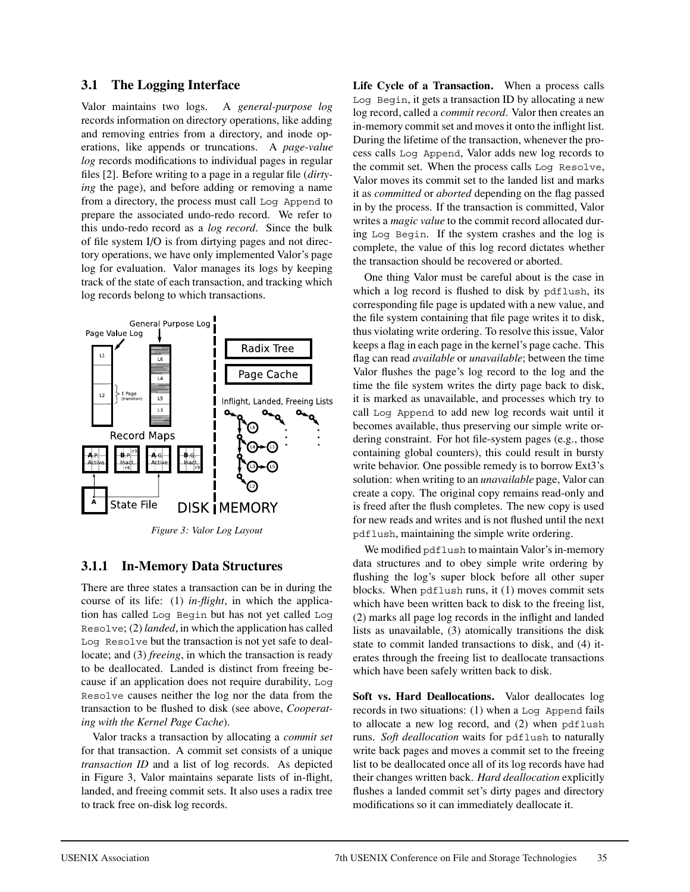### **3.1 The Logging Interface**

Valor maintains two logs. A *general-purpose log* records information on directory operations, like adding and removing entries from a directory, and inode operations, like appends or truncations. A *page-value log* records modifications to individual pages in regular files [2]. Before writing to a page in a regular file (*dirtying* the page), and before adding or removing a name from a directory, the process must call Log Append to prepare the associated undo-redo record. We refer to this undo-redo record as a *log record*. Since the bulk of file system I/O is from dirtying pages and not directory operations, we have only implemented Valor's page log for evaluation. Valor manages its logs by keeping track of the state of each transaction, and tracking which log records belong to which transactions.



### **3.1.1 In-Memory Data Structures**

There are three states a transaction can be in during the course of its life: (1) *in-flight*, in which the application has called Log Begin but has not yet called Log Resolve; (2) *landed*, in which the application has called Log Resolve but the transaction is not yet safe to deallocate; and (3) *freeing*, in which the transaction is ready to be deallocated. Landed is distinct from freeing because if an application does not require durability, Log Resolve causes neither the log nor the data from the transaction to be flushed to disk (see above, *Cooperating with the Kernel Page Cache*).

Valor tracks a transaction by allocating a *commit set* for that transaction. A commit set consists of a unique *transaction ID* and a list of log records. As depicted in Figure 3, Valor maintains separate lists of in-flight, landed, and freeing commit sets. It also uses a radix tree to track free on-disk log records.

**Life Cycle of a Transaction.** When a process calls Log Begin, it gets a transaction ID by allocating a new log record, called a *commit record*. Valor then creates an in-memory commit set and moves it onto the inflight list. During the lifetime of the transaction, whenever the process calls Log Append, Valor adds new log records to the commit set. When the process calls Log Resolve, Valor moves its commit set to the landed list and marks it as *committed* or *aborted* depending on the flag passed in by the process. If the transaction is committed, Valor writes a *magic value* to the commit record allocated during Log Begin. If the system crashes and the log is complete, the value of this log record dictates whether the transaction should be recovered or aborted.

One thing Valor must be careful about is the case in which a log record is flushed to disk by pdflush, its corresponding file page is updated with a new value, and the file system containing that file page writes it to disk, thus violating write ordering. To resolve this issue, Valor keeps a flag in each page in the kernel's page cache. This flag can read *available* or *unavailable*; between the time Valor flushes the page's log record to the log and the time the file system writes the dirty page back to disk, it is marked as unavailable, and processes which try to call Log Append to add new log records wait until it becomes available, thus preserving our simple write ordering constraint. For hot file-system pages (e.g., those containing global counters), this could result in bursty write behavior. One possible remedy is to borrow Ext3's solution: when writing to an *unavailable* page, Valor can create a copy. The original copy remains read-only and is freed after the flush completes. The new copy is used for new reads and writes and is not flushed until the next pdflush, maintaining the simple write ordering.

We modified pdflush to maintain Valor's in-memory data structures and to obey simple write ordering by flushing the log's super block before all other super blocks. When pdflush runs, it (1) moves commit sets which have been written back to disk to the freeing list, (2) marks all page log records in the inflight and landed lists as unavailable, (3) atomically transitions the disk state to commit landed transactions to disk, and (4) iterates through the freeing list to deallocate transactions which have been safely written back to disk.

**Soft vs. Hard Deallocations.** Valor deallocates log records in two situations: (1) when a Log Append fails to allocate a new log record, and (2) when pdflush runs. *Soft deallocation* waits for pdflush to naturally write back pages and moves a commit set to the freeing list to be deallocated once all of its log records have had their changes written back. *Hard deallocation* explicitly flushes a landed commit set's dirty pages and directory modifications so it can immediately deallocate it.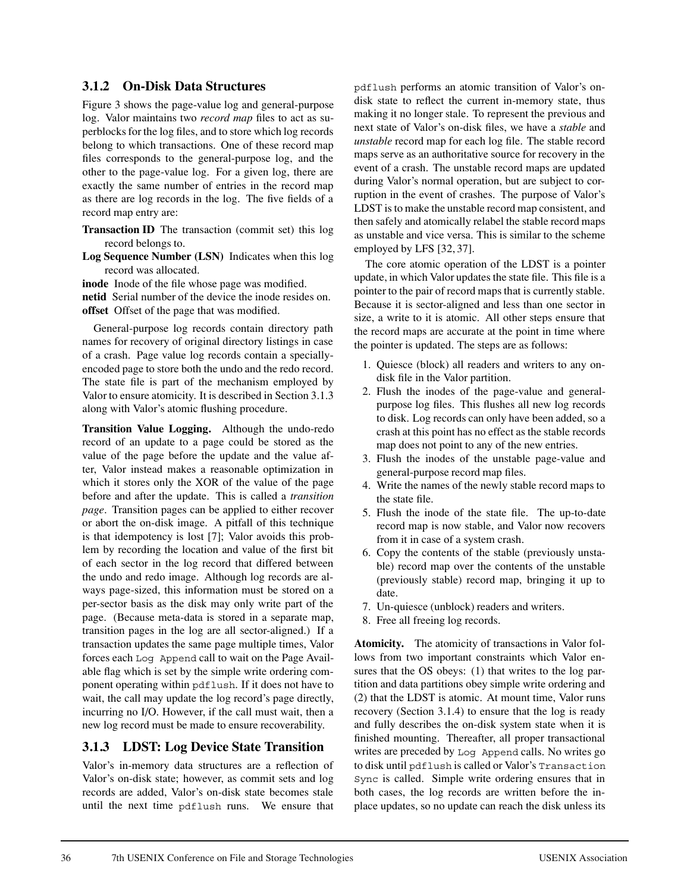#### **3.1.2 On-Disk Data Structures**

Figure 3 shows the page-value log and general-purpose log. Valor maintains two *record map* files to act as superblocks for the log files, and to store which log records belong to which transactions. One of these record map files corresponds to the general-purpose log, and the other to the page-value log. For a given log, there are exactly the same number of entries in the record map as there are log records in the log. The five fields of a record map entry are:

**Transaction ID** The transaction (commit set) this log record belongs to.

**Log Sequence Number (LSN)** Indicates when this log record was allocated.

**inode** Inode of the file whose page was modified. **netid** Serial number of the device the inode resides on. **offset** Offset of the page that was modified.

General-purpose log records contain directory path names for recovery of original directory listings in case of a crash. Page value log records contain a speciallyencoded page to store both the undo and the redo record. The state file is part of the mechanism employed by Valor to ensure atomicity. It is described in Section 3.1.3 along with Valor's atomic flushing procedure.

**Transition Value Logging.** Although the undo-redo record of an update to a page could be stored as the value of the page before the update and the value after, Valor instead makes a reasonable optimization in which it stores only the XOR of the value of the page before and after the update. This is called a *transition page*. Transition pages can be applied to either recover or abort the on-disk image. A pitfall of this technique is that idempotency is lost [7]; Valor avoids this problem by recording the location and value of the first bit of each sector in the log record that differed between the undo and redo image. Although log records are always page-sized, this information must be stored on a per-sector basis as the disk may only write part of the page. (Because meta-data is stored in a separate map, transition pages in the log are all sector-aligned.) If a transaction updates the same page multiple times, Valor forces each Log Append call to wait on the Page Available flag which is set by the simple write ordering component operating within pdflush. If it does not have to wait, the call may update the log record's page directly, incurring no I/O. However, if the call must wait, then a new log record must be made to ensure recoverability.

### **3.1.3 LDST: Log Device State Transition**

Valor's in-memory data structures are a reflection of Valor's on-disk state; however, as commit sets and log records are added, Valor's on-disk state becomes stale until the next time pdflush runs. We ensure that pdflush performs an atomic transition of Valor's ondisk state to reflect the current in-memory state, thus making it no longer stale. To represent the previous and next state of Valor's on-disk files, we have a *stable* and *unstable* record map for each log file. The stable record maps serve as an authoritative source for recovery in the event of a crash. The unstable record maps are updated during Valor's normal operation, but are subject to corruption in the event of crashes. The purpose of Valor's LDST is to make the unstable record map consistent, and then safely and atomically relabel the stable record maps as unstable and vice versa. This is similar to the scheme employed by LFS [32, 37].

The core atomic operation of the LDST is a pointer update, in which Valor updates the state file. This file is a pointer to the pair of record maps that is currently stable. Because it is sector-aligned and less than one sector in size, a write to it is atomic. All other steps ensure that the record maps are accurate at the point in time where the pointer is updated. The steps are as follows:

- 1. Quiesce (block) all readers and writers to any ondisk file in the Valor partition.
- 2. Flush the inodes of the page-value and generalpurpose log files. This flushes all new log records to disk. Log records can only have been added, so a crash at this point has no effect as the stable records map does not point to any of the new entries.
- 3. Flush the inodes of the unstable page-value and general-purpose record map files.
- 4. Write the names of the newly stable record maps to the state file.
- 5. Flush the inode of the state file. The up-to-date record map is now stable, and Valor now recovers from it in case of a system crash.
- 6. Copy the contents of the stable (previously unstable) record map over the contents of the unstable (previously stable) record map, bringing it up to date.
- 7. Un-quiesce (unblock) readers and writers.
- 8. Free all freeing log records.

**Atomicity.** The atomicity of transactions in Valor follows from two important constraints which Valor ensures that the OS obeys: (1) that writes to the log partition and data partitions obey simple write ordering and (2) that the LDST is atomic. At mount time, Valor runs recovery (Section 3.1.4) to ensure that the log is ready and fully describes the on-disk system state when it is finished mounting. Thereafter, all proper transactional writes are preceded by Log Append calls. No writes go to disk until pdflush is called or Valor's Transaction Sync is called. Simple write ordering ensures that in both cases, the log records are written before the inplace updates, so no update can reach the disk unless its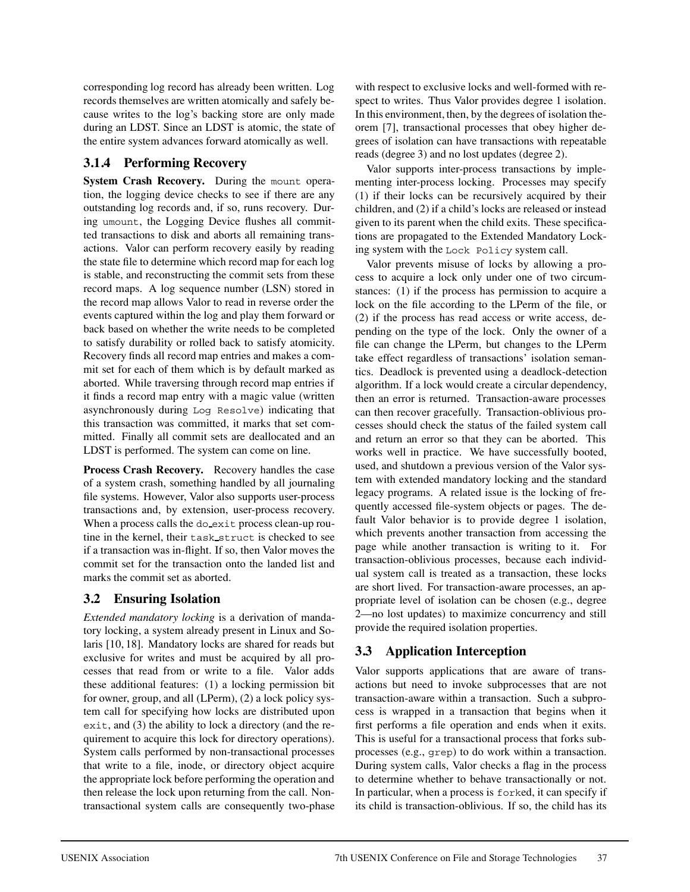corresponding log record has already been written. Log records themselves are written atomically and safely because writes to the log's backing store are only made during an LDST. Since an LDST is atomic, the state of the entire system advances forward atomically as well.

## **3.1.4 Performing Recovery**

**System Crash Recovery.** During the mount operation, the logging device checks to see if there are any outstanding log records and, if so, runs recovery. During umount, the Logging Device flushes all committed transactions to disk and aborts all remaining transactions. Valor can perform recovery easily by reading the state file to determine which record map for each log is stable, and reconstructing the commit sets from these record maps. A log sequence number (LSN) stored in the record map allows Valor to read in reverse order the events captured within the log and play them forward or back based on whether the write needs to be completed to satisfy durability or rolled back to satisfy atomicity. Recovery finds all record map entries and makes a commit set for each of them which is by default marked as aborted. While traversing through record map entries if it finds a record map entry with a magic value (written asynchronously during Log Resolve) indicating that this transaction was committed, it marks that set committed. Finally all commit sets are deallocated and an LDST is performed. The system can come on line.

**Process Crash Recovery.** Recovery handles the case of a system crash, something handled by all journaling file systems. However, Valor also supports user-process transactions and, by extension, user-process recovery. When a process calls the do exit process clean-up routine in the kernel, their task struct is checked to see if a transaction was in-flight. If so, then Valor moves the commit set for the transaction onto the landed list and marks the commit set as aborted.

## **3.2 Ensuring Isolation**

*Extended mandatory locking* is a derivation of mandatory locking, a system already present in Linux and Solaris [10, 18]. Mandatory locks are shared for reads but exclusive for writes and must be acquired by all processes that read from or write to a file. Valor adds these additional features: (1) a locking permission bit for owner, group, and all (LPerm), (2) a lock policy system call for specifying how locks are distributed upon exit, and (3) the ability to lock a directory (and the requirement to acquire this lock for directory operations). System calls performed by non-transactional processes that write to a file, inode, or directory object acquire the appropriate lock before performing the operation and then release the lock upon returning from the call. Nontransactional system calls are consequently two-phase

with respect to exclusive locks and well-formed with respect to writes. Thus Valor provides degree 1 isolation. In this environment, then, by the degrees of isolation theorem [7], transactional processes that obey higher degrees of isolation can have transactions with repeatable reads (degree 3) and no lost updates (degree 2).

Valor supports inter-process transactions by implementing inter-process locking. Processes may specify (1) if their locks can be recursively acquired by their children, and (2) if a child's locks are released or instead given to its parent when the child exits. These specifications are propagated to the Extended Mandatory Locking system with the Lock Policy system call.

Valor prevents misuse of locks by allowing a process to acquire a lock only under one of two circumstances: (1) if the process has permission to acquire a lock on the file according to the LPerm of the file, or (2) if the process has read access or write access, depending on the type of the lock. Only the owner of a file can change the LPerm, but changes to the LPerm take effect regardless of transactions' isolation semantics. Deadlock is prevented using a deadlock-detection algorithm. If a lock would create a circular dependency, then an error is returned. Transaction-aware processes can then recover gracefully. Transaction-oblivious processes should check the status of the failed system call and return an error so that they can be aborted. This works well in practice. We have successfully booted, used, and shutdown a previous version of the Valor system with extended mandatory locking and the standard legacy programs. A related issue is the locking of frequently accessed file-system objects or pages. The default Valor behavior is to provide degree 1 isolation, which prevents another transaction from accessing the page while another transaction is writing to it. For transaction-oblivious processes, because each individual system call is treated as a transaction, these locks are short lived. For transaction-aware processes, an appropriate level of isolation can be chosen (e.g., degree 2—no lost updates) to maximize concurrency and still provide the required isolation properties.

## **3.3 Application Interception**

Valor supports applications that are aware of transactions but need to invoke subprocesses that are not transaction-aware within a transaction. Such a subprocess is wrapped in a transaction that begins when it first performs a file operation and ends when it exits. This is useful for a transactional process that forks subprocesses (e.g., grep) to do work within a transaction. During system calls, Valor checks a flag in the process to determine whether to behave transactionally or not. In particular, when a process is forked, it can specify if its child is transaction-oblivious. If so, the child has its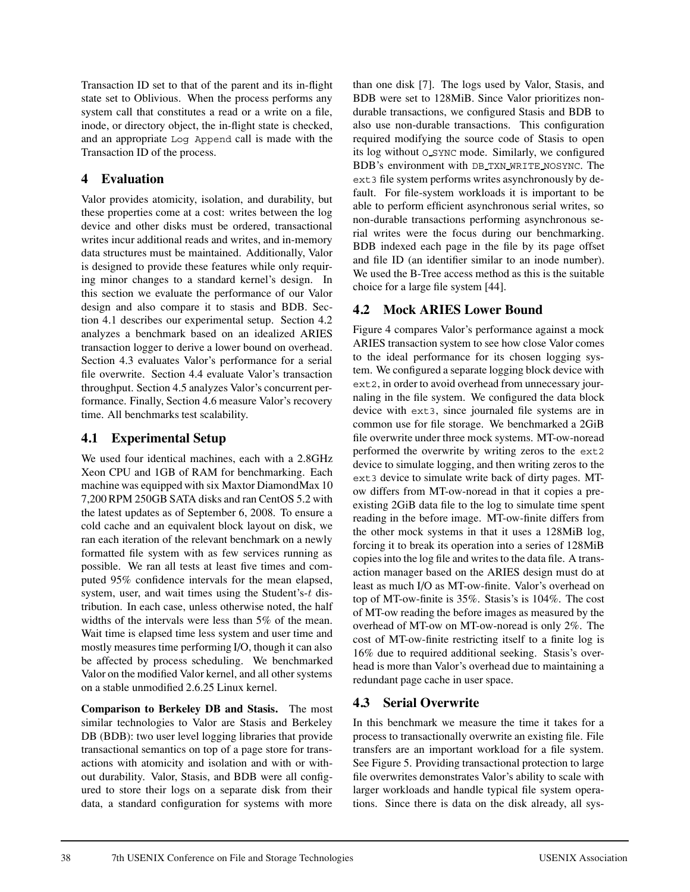Transaction ID set to that of the parent and its in-flight state set to Oblivious. When the process performs any system call that constitutes a read or a write on a file, inode, or directory object, the in-flight state is checked, and an appropriate Log Append call is made with the Transaction ID of the process.

## **4 Evaluation**

Valor provides atomicity, isolation, and durability, but these properties come at a cost: writes between the log device and other disks must be ordered, transactional writes incur additional reads and writes, and in-memory data structures must be maintained. Additionally, Valor is designed to provide these features while only requiring minor changes to a standard kernel's design. In this section we evaluate the performance of our Valor design and also compare it to stasis and BDB. Section 4.1 describes our experimental setup. Section 4.2 analyzes a benchmark based on an idealized ARIES transaction logger to derive a lower bound on overhead. Section 4.3 evaluates Valor's performance for a serial file overwrite. Section 4.4 evaluate Valor's transaction throughput. Section 4.5 analyzes Valor's concurrent performance. Finally, Section 4.6 measure Valor's recovery time. All benchmarks test scalability.

### **4.1 Experimental Setup**

We used four identical machines, each with a 2.8GHz Xeon CPU and 1GB of RAM for benchmarking. Each machine was equipped with six Maxtor DiamondMax 10 7,200 RPM 250GB SATA disks and ran CentOS 5.2 with the latest updates as of September 6, 2008. To ensure a cold cache and an equivalent block layout on disk, we ran each iteration of the relevant benchmark on a newly formatted file system with as few services running as possible. We ran all tests at least five times and computed 95% confidence intervals for the mean elapsed, system, user, and wait times using the Student's-t distribution. In each case, unless otherwise noted, the half widths of the intervals were less than 5% of the mean. Wait time is elapsed time less system and user time and mostly measures time performing I/O, though it can also be affected by process scheduling. We benchmarked Valor on the modified Valor kernel, and all other systems on a stable unmodified 2.6.25 Linux kernel.

**Comparison to Berkeley DB and Stasis.** The most similar technologies to Valor are Stasis and Berkeley DB (BDB): two user level logging libraries that provide transactional semantics on top of a page store for transactions with atomicity and isolation and with or without durability. Valor, Stasis, and BDB were all configured to store their logs on a separate disk from their data, a standard configuration for systems with more than one disk [7]. The logs used by Valor, Stasis, and BDB were set to 128MiB. Since Valor prioritizes nondurable transactions, we configured Stasis and BDB to also use non-durable transactions. This configuration required modifying the source code of Stasis to open its log without O SYNC mode. Similarly, we configured BDB's environment with DB TXN WRITE NOSYNC. The ext3 file system performs writes asynchronously by default. For file-system workloads it is important to be able to perform efficient asynchronous serial writes, so non-durable transactions performing asynchronous serial writes were the focus during our benchmarking. BDB indexed each page in the file by its page offset and file ID (an identifier similar to an inode number). We used the B-Tree access method as this is the suitable choice for a large file system [44].

## **4.2 Mock ARIES Lower Bound**

Figure 4 compares Valor's performance against a mock ARIES transaction system to see how close Valor comes to the ideal performance for its chosen logging system. We configured a separate logging block device with ext2, in order to avoid overhead from unnecessary journaling in the file system. We configured the data block device with ext3, since journaled file systems are in common use for file storage. We benchmarked a 2GiB file overwrite under three mock systems. MT-ow-noread performed the overwrite by writing zeros to the ext2 device to simulate logging, and then writing zeros to the ext3 device to simulate write back of dirty pages. MTow differs from MT-ow-noread in that it copies a preexisting 2GiB data file to the log to simulate time spent reading in the before image. MT-ow-finite differs from the other mock systems in that it uses a 128MiB log, forcing it to break its operation into a series of 128MiB copies into the log file and writes to the data file. A transaction manager based on the ARIES design must do at least as much I/O as MT-ow-finite. Valor's overhead on top of MT-ow-finite is 35%. Stasis's is 104%. The cost of MT-ow reading the before images as measured by the overhead of MT-ow on MT-ow-noread is only 2%. The cost of MT-ow-finite restricting itself to a finite log is 16% due to required additional seeking. Stasis's overhead is more than Valor's overhead due to maintaining a redundant page cache in user space.

## **4.3 Serial Overwrite**

In this benchmark we measure the time it takes for a process to transactionally overwrite an existing file. File transfers are an important workload for a file system. See Figure 5. Providing transactional protection to large file overwrites demonstrates Valor's ability to scale with larger workloads and handle typical file system operations. Since there is data on the disk already, all sys-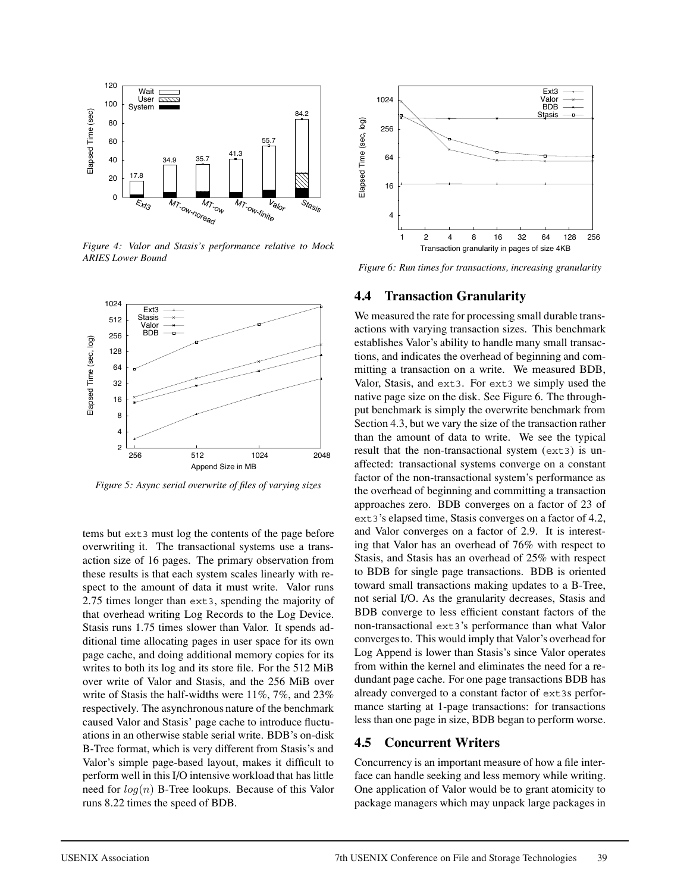

*Figure 4: Valor and Stasis's performance relative to Mock ARIES Lower Bound*



*Figure 5: Async serial overwrite of files of varying sizes*

tems but ext3 must log the contents of the page before overwriting it. The transactional systems use a transaction size of 16 pages. The primary observation from these results is that each system scales linearly with respect to the amount of data it must write. Valor runs 2.75 times longer than ext3, spending the majority of that overhead writing Log Records to the Log Device. Stasis runs 1.75 times slower than Valor. It spends additional time allocating pages in user space for its own page cache, and doing additional memory copies for its writes to both its log and its store file. For the 512 MiB over write of Valor and Stasis, and the 256 MiB over write of Stasis the half-widths were 11%, 7%, and 23% respectively. The asynchronous nature of the benchmark caused Valor and Stasis' page cache to introduce fluctuations in an otherwise stable serial write. BDB's on-disk B-Tree format, which is very different from Stasis's and Valor's simple page-based layout, makes it difficult to perform well in this I/O intensive workload that has little need for  $log(n)$  B-Tree lookups. Because of this Valor runs 8.22 times the speed of BDB.



*Figure 6: Run times for transactions, increasing granularity*

#### **4.4 Transaction Granularity**

We measured the rate for processing small durable transactions with varying transaction sizes. This benchmark establishes Valor's ability to handle many small transactions, and indicates the overhead of beginning and committing a transaction on a write. We measured BDB, Valor, Stasis, and ext3. For ext3 we simply used the native page size on the disk. See Figure 6. The throughput benchmark is simply the overwrite benchmark from Section 4.3, but we vary the size of the transaction rather than the amount of data to write. We see the typical result that the non-transactional system (ext3) is unaffected: transactional systems converge on a constant factor of the non-transactional system's performance as the overhead of beginning and committing a transaction approaches zero. BDB converges on a factor of 23 of ext3's elapsed time, Stasis converges on a factor of 4.2, and Valor converges on a factor of 2.9. It is interesting that Valor has an overhead of 76% with respect to Stasis, and Stasis has an overhead of 25% with respect to BDB for single page transactions. BDB is oriented toward small transactions making updates to a B-Tree, not serial I/O. As the granularity decreases, Stasis and BDB converge to less efficient constant factors of the non-transactional ext3's performance than what Valor converges to. This would imply that Valor's overhead for Log Append is lower than Stasis's since Valor operates from within the kernel and eliminates the need for a redundant page cache. For one page transactions BDB has already converged to a constant factor of ext3s performance starting at 1-page transactions: for transactions less than one page in size, BDB began to perform worse.

### **4.5 Concurrent Writers**

Concurrency is an important measure of how a file interface can handle seeking and less memory while writing. One application of Valor would be to grant atomicity to package managers which may unpack large packages in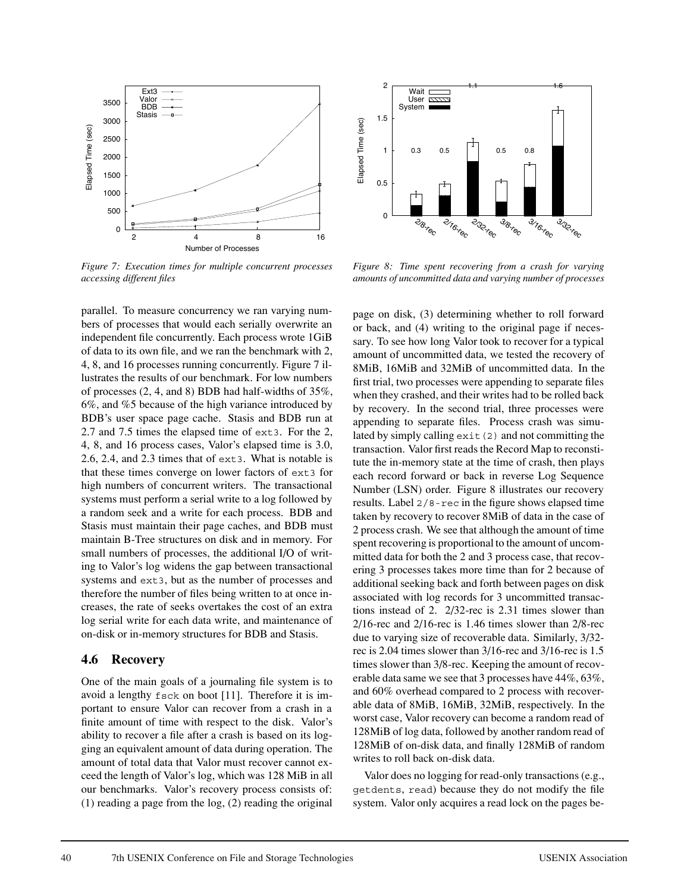

*Figure 7: Execution times for multiple concurrent processes accessing different files*

parallel. To measure concurrency we ran varying numbers of processes that would each serially overwrite an independent file concurrently. Each process wrote 1GiB of data to its own file, and we ran the benchmark with 2, 4, 8, and 16 processes running concurrently. Figure 7 illustrates the results of our benchmark. For low numbers of processes (2, 4, and 8) BDB had half-widths of 35%, 6%, and %5 because of the high variance introduced by BDB's user space page cache. Stasis and BDB run at 2.7 and 7.5 times the elapsed time of ext3. For the 2, 4, 8, and 16 process cases, Valor's elapsed time is 3.0, 2.6, 2.4, and 2.3 times that of ext3. What is notable is that these times converge on lower factors of ext3 for high numbers of concurrent writers. The transactional systems must perform a serial write to a log followed by a random seek and a write for each process. BDB and Stasis must maintain their page caches, and BDB must maintain B-Tree structures on disk and in memory. For small numbers of processes, the additional I/O of writing to Valor's log widens the gap between transactional systems and ext3, but as the number of processes and therefore the number of files being written to at once increases, the rate of seeks overtakes the cost of an extra log serial write for each data write, and maintenance of on-disk or in-memory structures for BDB and Stasis.

#### **4.6 Recovery**

One of the main goals of a journaling file system is to avoid a lengthy fsck on boot [11]. Therefore it is important to ensure Valor can recover from a crash in a finite amount of time with respect to the disk. Valor's ability to recover a file after a crash is based on its logging an equivalent amount of data during operation. The amount of total data that Valor must recover cannot exceed the length of Valor's log, which was 128 MiB in all our benchmarks. Valor's recovery process consists of: (1) reading a page from the log, (2) reading the original



*Figure 8: Time spent recovering from a crash for varying amounts of uncommitted data and varying number of processes*

page on disk, (3) determining whether to roll forward or back, and (4) writing to the original page if necessary. To see how long Valor took to recover for a typical amount of uncommitted data, we tested the recovery of 8MiB, 16MiB and 32MiB of uncommitted data. In the first trial, two processes were appending to separate files when they crashed, and their writes had to be rolled back by recovery. In the second trial, three processes were appending to separate files. Process crash was simulated by simply calling  $ext{exit}(2)$  and not committing the transaction. Valor first reads the Record Map to reconstitute the in-memory state at the time of crash, then plays each record forward or back in reverse Log Sequence Number (LSN) order. Figure 8 illustrates our recovery results. Label 2/8-rec in the figure shows elapsed time taken by recovery to recover 8MiB of data in the case of 2 process crash. We see that although the amount of time spent recovering is proportional to the amount of uncommitted data for both the 2 and 3 process case, that recovering 3 processes takes more time than for 2 because of additional seeking back and forth between pages on disk associated with log records for 3 uncommitted transactions instead of 2. 2/32-rec is 2.31 times slower than 2/16-rec and 2/16-rec is 1.46 times slower than 2/8-rec due to varying size of recoverable data. Similarly, 3/32 rec is 2.04 times slower than 3/16-rec and 3/16-rec is 1.5 times slower than 3/8-rec. Keeping the amount of recoverable data same we see that 3 processes have 44%, 63%, and 60% overhead compared to 2 process with recoverable data of 8MiB, 16MiB, 32MiB, respectively. In the worst case, Valor recovery can become a random read of 128MiB of log data, followed by another random read of 128MiB of on-disk data, and finally 128MiB of random writes to roll back on-disk data.

Valor does no logging for read-only transactions (e.g., getdents, read) because they do not modify the file system. Valor only acquires a read lock on the pages be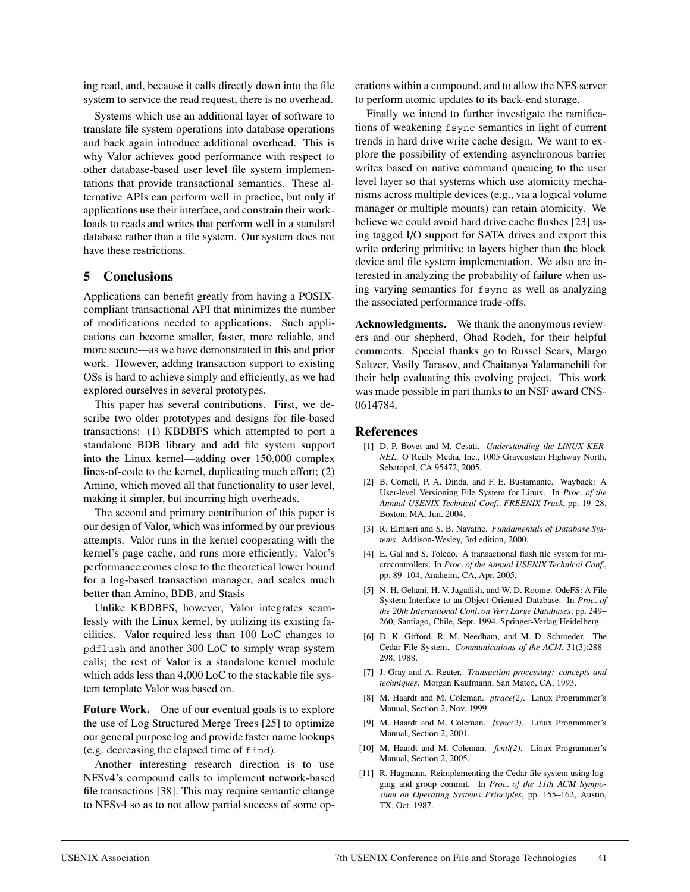ing read, and, because it calls directly down into the file system to service the read request, there is no overhead.

Systems which use an additional layer of software to translate file system operations into database operations and back again introduce additional overhead. This is why Valor achieves good performance with respect to other database-based user level file system implementations that provide transactional semantics. These alternative APIs can perform well in practice, but only if applications use their interface, and constrain their workloads to reads and writes that perform well in a standard database rather than a file system. Our system does not have these restrictions.

#### **5 Conclusions**

Applications can benefit greatly from having a POSIXcompliant transactional API that minimizes the number of modifications needed to applications. Such applications can become smaller, faster, more reliable, and more secure—as we have demonstrated in this and prior work. However, adding transaction support to existing OSs is hard to achieve simply and efficiently, as we had explored ourselves in several prototypes.

This paper has several contributions. First, we describe two older prototypes and designs for file-based transactions: (1) KBDBFS which attempted to port a standalone BDB library and add file system support into the Linux kernel—adding over 150,000 complex lines-of-code to the kernel, duplicating much effort; (2) Amino, which moved all that functionality to user level, making it simpler, but incurring high overheads.

The second and primary contribution of this paper is our design of Valor, which was informed by our previous attempts. Valor runs in the kernel cooperating with the kernel's page cache, and runs more efficiently: Valor's performance comes close to the theoretical lower bound for a log-based transaction manager, and scales much better than Amino, BDB, and Stasis

Unlike KBDBFS, however, Valor integrates seamlessly with the Linux kernel, by utilizing its existing facilities. Valor required less than 100 LoC changes to pdflush and another 300 LoC to simply wrap system calls; the rest of Valor is a standalone kernel module which adds less than 4,000 LoC to the stackable file system template Valor was based on.

**Future Work.** One of our eventual goals is to explore the use of Log Structured Merge Trees [25] to optimize our general purpose log and provide faster name lookups (e.g. decreasing the elapsed time of find).

Another interesting research direction is to use NFSv4's compound calls to implement network-based file transactions [38]. This may require semantic change to NFSv4 so as to not allow partial success of some operations within a compound, and to allow the NFS server to perform atomic updates to its back-end storage.

Finally we intend to further investigate the ramifications of weakening fsync semantics in light of current trends in hard drive write cache design. We want to explore the possibility of extending asynchronous barrier writes based on native command queueing to the user level layer so that systems which use atomicity mechanisms across multiple devices (e.g., via a logical volume manager or multiple mounts) can retain atomicity. We believe we could avoid hard drive cache flushes [23] using tagged I/O support for SATA drives and export this write ordering primitive to layers higher than the block device and file system implementation. We also are interested in analyzing the probability of failure when using varying semantics for fsync as well as analyzing the associated performance trade-offs.

**Acknowledgments.** We thank the anonymous reviewers and our shepherd, Ohad Rodeh, for their helpful comments. Special thanks go to Russel Sears, Margo Seltzer, Vasily Tarasov, and Chaitanya Yalamanchili for their help evaluating this evolving project. This work was made possible in part thanks to an NSF award CNS-0614784.

#### **References**

- [1] D. P. Bovet and M. Cesati. *Understanding the LINUX KER-NEL*. O'Reilly Media, Inc., 1005 Gravenstein Highway North, Sebatopol, CA 95472, 2005.
- [2] B. Cornell, P. A. Dinda, and F. E. Bustamante. Wayback: A User-level Versioning File System for Linux. In *Proc. of the Annual USENIX Technical Conf., FREENIX Track*, pp. 19–28, Boston, MA, Jun. 2004.
- [3] R. Elmasri and S. B. Navathe. *Fundamentals of Database Systems*. Addison-Wesley, 3rd edition, 2000.
- [4] E. Gal and S. Toledo. A transactional flash file system for microcontrollers. In *Proc. of the Annual USENIX Technical Conf.*, pp. 89–104, Anaheim, CA, Apr. 2005.
- [5] N. H. Gehani, H. V. Jagadish, and W. D. Roome. OdeFS: A File System Interface to an Object-Oriented Database. In *Proc. of the 20th International Conf. on Very Large Databases*, pp. 249– 260, Santiago, Chile, Sept. 1994. Springer-Verlag Heidelberg.
- [6] D. K. Gifford, R. M. Needham, and M. D. Schroeder. The Cedar File System. *Communications of the ACM*, 31(3):288– 298, 1988.
- [7] J. Gray and A. Reuter. *Transaction processing: concepts and techniques*. Morgan Kaufmann, San Mateo, CA, 1993.
- [8] M. Haardt and M. Coleman. *ptrace(2)*. Linux Programmer's Manual, Section 2, Nov. 1999.
- [9] M. Haardt and M. Coleman. *fsync(2)*. Linux Programmer's Manual, Section 2, 2001.
- [10] M. Haardt and M. Coleman. *fcntl(2)*. Linux Programmer's Manual, Section 2, 2005.
- [11] R. Hagmann. Reimplementing the Cedar file system using logging and group commit. In *Proc. of the 11th ACM Symposium on Operating Systems Principles*, pp. 155–162, Austin, TX, Oct. 1987.